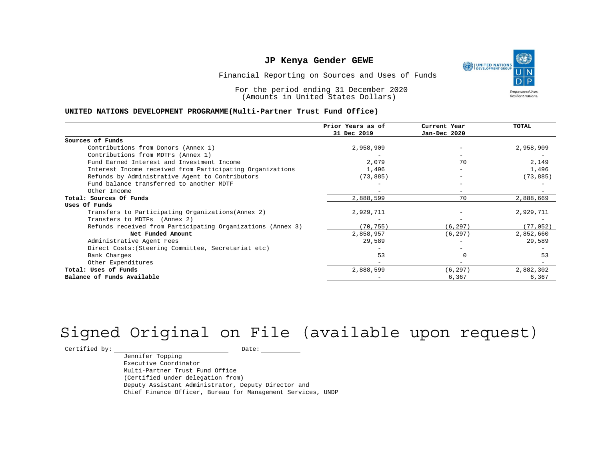UNITED NATIONS **Empowered lives** Resilient nations.

Financial Reporting on Sources and Uses of Funds

For the period ending 31 December 2020 (Amounts in United States Dollars)

#### **UNITED NATIONS DEVELOPMENT PROGRAMME(Multi-Partner Trust Fund Office)**

|                                                             | Prior Years as of | Current Year             | <b>TOTAL</b> |
|-------------------------------------------------------------|-------------------|--------------------------|--------------|
|                                                             | 31 Dec 2019       | Jan-Dec 2020             |              |
| Sources of Funds                                            |                   |                          |              |
| Contributions from Donors (Annex 1)                         | 2,958,909         |                          | 2,958,909    |
| Contributions from MDTFs (Annex 1)                          |                   |                          |              |
| Fund Earned Interest and Investment Income                  | 2,079             | 70                       | 2,149        |
| Interest Income received from Participating Organizations   | 1,496             | $\overline{\phantom{0}}$ | 1,496        |
| Refunds by Administrative Agent to Contributors             | (73, 885)         |                          | (73, 885)    |
| Fund balance transferred to another MDTF                    |                   |                          |              |
| Other Income                                                |                   |                          |              |
| Total: Sources Of Funds                                     | 2,888,599         | 70                       | 2,888,669    |
| Uses Of Funds                                               |                   |                          |              |
| Transfers to Participating Organizations (Annex 2)          | 2,929,711         |                          | 2,929,711    |
| Transfers to MDTFs (Annex 2)                                |                   |                          |              |
| Refunds received from Participating Organizations (Annex 3) | (70, 755)         | (6, 297)                 | (77, 052)    |
| Net Funded Amount                                           | 2,858,957         | (6, 297)                 | 2,852,660    |
| Administrative Agent Fees                                   | 29,589            |                          | 29,589       |
| Direct Costs: (Steering Committee, Secretariat etc)         |                   |                          |              |
| Bank Charges                                                | 53                |                          | 53           |
| Other Expenditures                                          |                   |                          |              |
| Total: Uses of Funds                                        | 2,888,599         | (6, 297)                 | 2,882,302    |
| Balance of Funds Available                                  |                   | 6,367                    | 6,367        |

# Signed Original on File (available upon request)

 $\begin{tabular}{c} \multicolumn{2}{c}{{\texttt{Certified by:}}}} \quad \quad \texttt{Date:} \end{tabular}$ 

Jennifer Topping Executive Coordinator Multi-Partner Trust Fund Office (Certified under delegation from) Deputy Assistant Administrator, Deputy Director and Chief Finance Officer, Bureau for Management Services, UNDP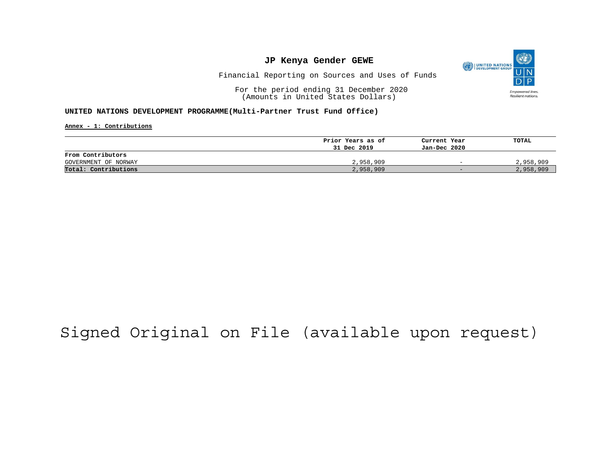

Financial Reporting on Sources and Uses of Funds

For the period ending 31 December 2020 (Amounts in United States Dollars)

**UNITED NATIONS DEVELOPMENT PROGRAMME(Multi-Partner Trust Fund Office)**

**Annex - 1: Contributions**

|                      | Prior Years as of | Current Year             | TOTAL     |
|----------------------|-------------------|--------------------------|-----------|
|                      | 31 Dec 2019       | Jan-Dec 2020             |           |
| From Contributors    |                   |                          |           |
| GOVERNMENT OF NORWAY | 2,958,909         | $\overline{\phantom{0}}$ | 2,958,909 |
| Total: Contributions | 2,958,909         | $-$                      | 2,958,909 |

## Signed Original on File (available upon request)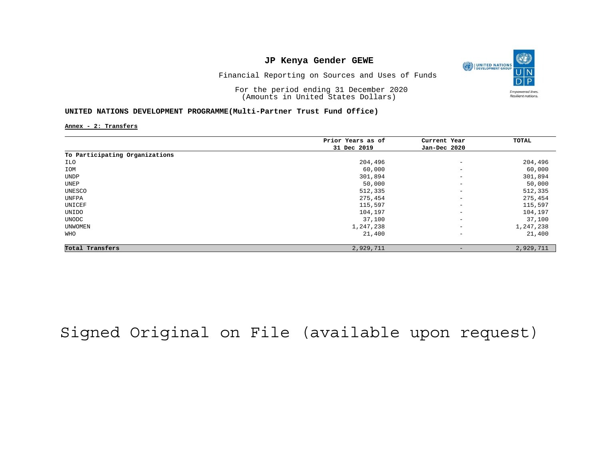

Financial Reporting on Sources and Uses of Funds

For the period ending 31 December 2020 (Amounts in United States Dollars)

#### **UNITED NATIONS DEVELOPMENT PROGRAMME(Multi-Partner Trust Fund Office)**

**Annex - 2: Transfers**

|                                | Prior Years as of | Current Year             | TOTAL     |
|--------------------------------|-------------------|--------------------------|-----------|
|                                | 31 Dec 2019       | Jan-Dec 2020             |           |
| To Participating Organizations |                   |                          |           |
| ILO                            | 204,496           | $\overline{\phantom{m}}$ | 204,496   |
| IOM                            | 60,000            | $\qquad \qquad -$        | 60,000    |
| UNDP                           | 301,894           | $\qquad \qquad -$        | 301,894   |
| UNEP                           | 50,000            | $\overline{\phantom{a}}$ | 50,000    |
| UNESCO                         | 512,335           | $\qquad \qquad -$        | 512,335   |
| UNFPA                          | 275,454           | $\overline{\phantom{a}}$ | 275,454   |
| UNICEF                         | 115,597           | $\qquad \qquad -$        | 115,597   |
| UNIDO                          | 104,197           | $\qquad \qquad -$        | 104,197   |
| UNODC                          | 37,100            | $\qquad \qquad -$        | 37,100    |
| UNWOMEN                        | 1,247,238         | $\overline{\phantom{a}}$ | 1,247,238 |
| WHO                            | 21,400            | $\qquad \qquad -$        | 21,400    |
| Total Transfers                | 2,929,711         | $\qquad \qquad -$        | 2,929,711 |

Signed Original on File (available upon request)